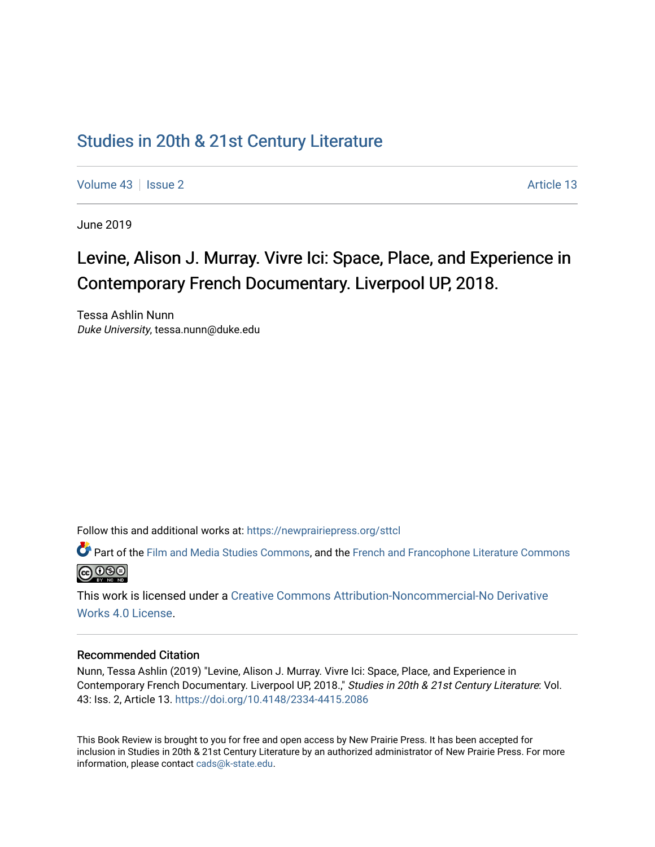## [Studies in 20th & 21st Century Literature](https://newprairiepress.org/sttcl)

[Volume 43](https://newprairiepress.org/sttcl/vol43) | [Issue 2](https://newprairiepress.org/sttcl/vol43/iss2) Article 13

June 2019

# Levine, Alison J. Murray. Vivre Ici: Space, Place, and Experience in Contemporary French Documentary. Liverpool UP, 2018.

Tessa Ashlin Nunn Duke University, tessa.nunn@duke.edu

Follow this and additional works at: [https://newprairiepress.org/sttcl](https://newprairiepress.org/sttcl?utm_source=newprairiepress.org%2Fsttcl%2Fvol43%2Fiss2%2F13&utm_medium=PDF&utm_campaign=PDFCoverPages) 

Part of the [Film and Media Studies Commons,](http://network.bepress.com/hgg/discipline/563?utm_source=newprairiepress.org%2Fsttcl%2Fvol43%2Fiss2%2F13&utm_medium=PDF&utm_campaign=PDFCoverPages) and the [French and Francophone Literature Commons](http://network.bepress.com/hgg/discipline/465?utm_source=newprairiepress.org%2Fsttcl%2Fvol43%2Fiss2%2F13&utm_medium=PDF&utm_campaign=PDFCoverPages)  $\bigcirc$  000

This work is licensed under a [Creative Commons Attribution-Noncommercial-No Derivative](https://creativecommons.org/licenses/by-nc-nd/4.0/)  [Works 4.0 License](https://creativecommons.org/licenses/by-nc-nd/4.0/).

#### Recommended Citation

Nunn, Tessa Ashlin (2019) "Levine, Alison J. Murray. Vivre Ici: Space, Place, and Experience in Contemporary French Documentary. Liverpool UP, 2018.," Studies in 20th & 21st Century Literature: Vol. 43: Iss. 2, Article 13. <https://doi.org/10.4148/2334-4415.2086>

This Book Review is brought to you for free and open access by New Prairie Press. It has been accepted for inclusion in Studies in 20th & 21st Century Literature by an authorized administrator of New Prairie Press. For more information, please contact [cads@k-state.edu](mailto:cads@k-state.edu).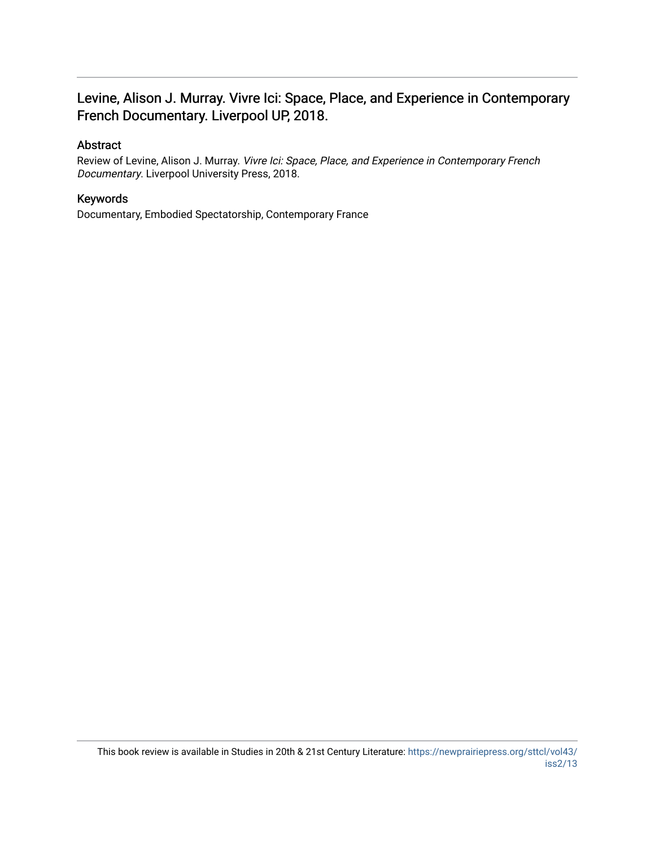### Levine, Alison J. Murray. Vivre Ici: Space, Place, and Experience in Contemporary French Documentary. Liverpool UP, 2018.

### Abstract

Review of Levine, Alison J. Murray. Vivre Ici: Space, Place, and Experience in Contemporary French Documentary. Liverpool University Press, 2018.

### Keywords

Documentary, Embodied Spectatorship, Contemporary France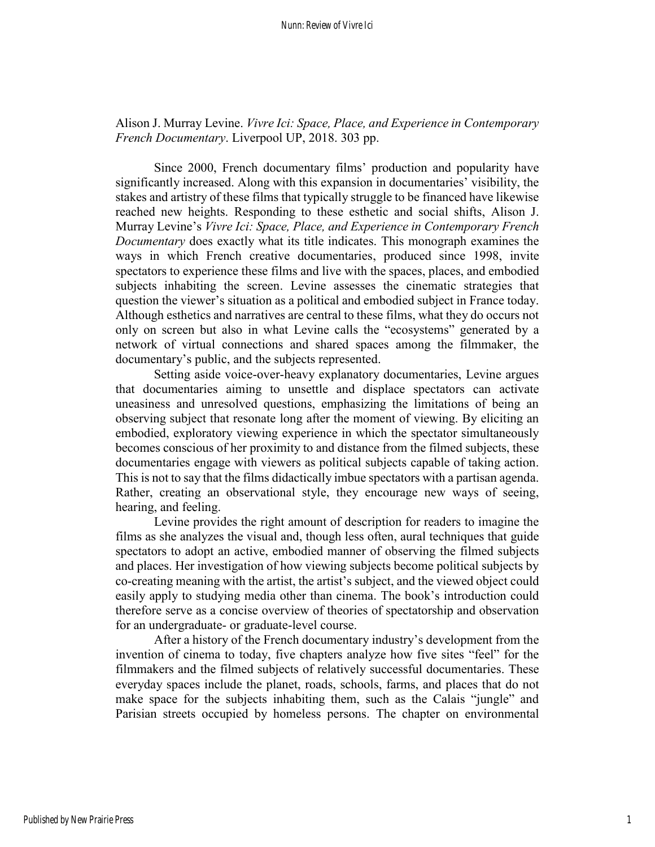### Alison J. Murray Levine. *Vivre Ici: Space, Place, and Experience in Contemporary French Documentary*. Liverpool UP, 2018. 303 pp.

Since 2000, French documentary films' production and popularity have significantly increased. Along with this expansion in documentaries' visibility, the stakes and artistry of these films that typically struggle to be financed have likewise reached new heights. Responding to these esthetic and social shifts, Alison J. Murray Levine's *Vivre Ici: Space, Place, and Experience in Contemporary French Documentary* does exactly what its title indicates. This monograph examines the ways in which French creative documentaries, produced since 1998, invite spectators to experience these films and live with the spaces, places, and embodied subjects inhabiting the screen. Levine assesses the cinematic strategies that question the viewer's situation as a political and embodied subject in France today. Although esthetics and narratives are central to these films, what they do occurs not only on screen but also in what Levine calls the "ecosystems" generated by a network of virtual connections and shared spaces among the filmmaker, the documentary's public, and the subjects represented.

Setting aside voice-over-heavy explanatory documentaries, Levine argues that documentaries aiming to unsettle and displace spectators can activate uneasiness and unresolved questions, emphasizing the limitations of being an observing subject that resonate long after the moment of viewing. By eliciting an embodied, exploratory viewing experience in which the spectator simultaneously becomes conscious of her proximity to and distance from the filmed subjects, these documentaries engage with viewers as political subjects capable of taking action. This is not to say that the films didactically imbue spectators with a partisan agenda. Rather, creating an observational style, they encourage new ways of seeing, hearing, and feeling.

Levine provides the right amount of description for readers to imagine the films as she analyzes the visual and, though less often, aural techniques that guide spectators to adopt an active, embodied manner of observing the filmed subjects and places. Her investigation of how viewing subjects become political subjects by co-creating meaning with the artist, the artist's subject, and the viewed object could easily apply to studying media other than cinema. The book's introduction could therefore serve as a concise overview of theories of spectatorship and observation for an undergraduate- or graduate-level course.

After a history of the French documentary industry's development from the invention of cinema to today, five chapters analyze how five sites "feel" for the filmmakers and the filmed subjects of relatively successful documentaries. These everyday spaces include the planet, roads, schools, farms, and places that do not make space for the subjects inhabiting them, such as the Calais "jungle" and Parisian streets occupied by homeless persons. The chapter on environmental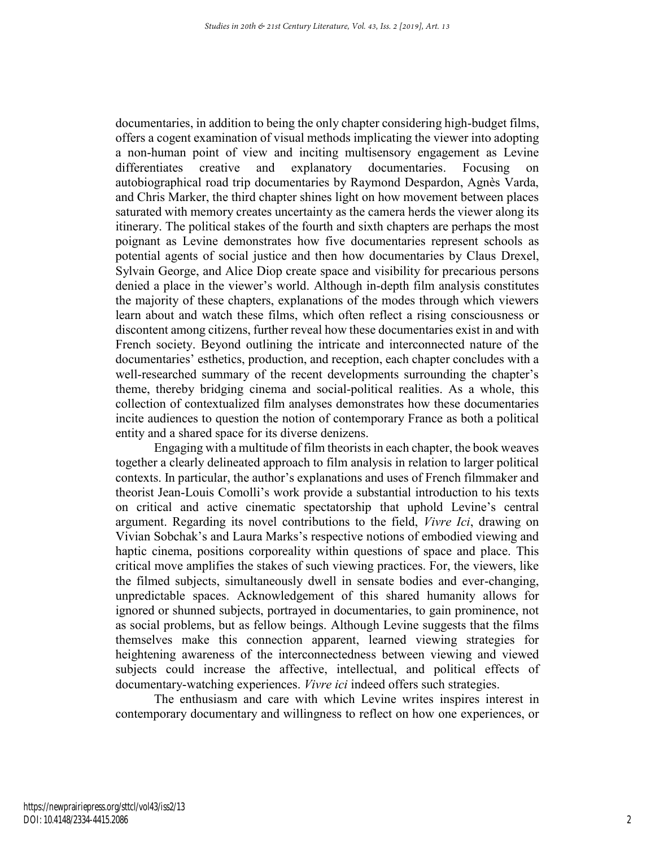documentaries, in addition to being the only chapter considering high-budget films, offers a cogent examination of visual methods implicating the viewer into adopting a non-human point of view and inciting multisensory engagement as Levine differentiates creative and explanatory documentaries. Focusing on autobiographical road trip documentaries by Raymond Despardon, Agnès Varda, and Chris Marker, the third chapter shines light on how movement between places saturated with memory creates uncertainty as the camera herds the viewer along its itinerary. The political stakes of the fourth and sixth chapters are perhaps the most poignant as Levine demonstrates how five documentaries represent schools as potential agents of social justice and then how documentaries by Claus Drexel, Sylvain George, and Alice Diop create space and visibility for precarious persons denied a place in the viewer's world. Although in-depth film analysis constitutes the majority of these chapters, explanations of the modes through which viewers learn about and watch these films, which often reflect a rising consciousness or discontent among citizens, further reveal how these documentaries exist in and with French society. Beyond outlining the intricate and interconnected nature of the documentaries' esthetics, production, and reception, each chapter concludes with a well-researched summary of the recent developments surrounding the chapter's theme, thereby bridging cinema and social-political realities. As a whole, this collection of contextualized film analyses demonstrates how these documentaries incite audiences to question the notion of contemporary France as both a political entity and a shared space for its diverse denizens.

Engaging with a multitude of film theorists in each chapter, the book weaves together a clearly delineated approach to film analysis in relation to larger political contexts. In particular, the author's explanations and uses of French filmmaker and theorist Jean-Louis Comolli's work provide a substantial introduction to his texts on critical and active cinematic spectatorship that uphold Levine's central argument. Regarding its novel contributions to the field, *Vivre Ici*, drawing on Vivian Sobchak's and Laura Marks's respective notions of embodied viewing and haptic cinema, positions corporeality within questions of space and place. This critical move amplifies the stakes of such viewing practices. For, the viewers, like the filmed subjects, simultaneously dwell in sensate bodies and ever-changing, unpredictable spaces. Acknowledgement of this shared humanity allows for ignored or shunned subjects, portrayed in documentaries, to gain prominence, not as social problems, but as fellow beings. Although Levine suggests that the films themselves make this connection apparent, learned viewing strategies for heightening awareness of the interconnectedness between viewing and viewed subjects could increase the affective, intellectual, and political effects of documentary-watching experiences. *Vivre ici* indeed offers such strategies.

The enthusiasm and care with which Levine writes inspires interest in contemporary documentary and willingness to reflect on how one experiences, or